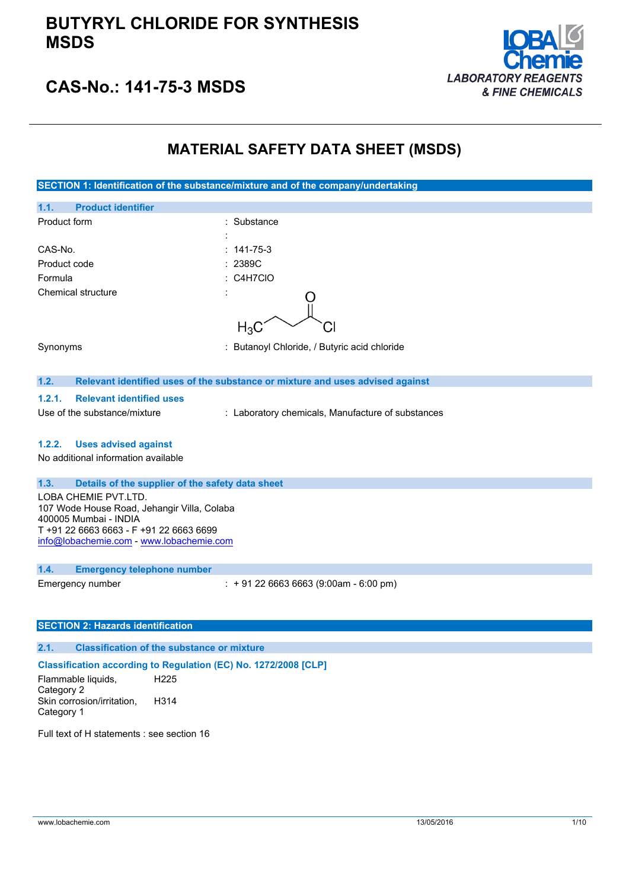

## **CAS-No.: 141-75-3 MSDS**

## **MATERIAL SAFETY DATA SHEET (MSDS)**

| SECTION 1: Identification of the substance/mixture and of the company/undertaking |                                                                               |  |
|-----------------------------------------------------------------------------------|-------------------------------------------------------------------------------|--|
| <b>Product identifier</b><br>1.1.                                                 |                                                                               |  |
| Product form                                                                      | : Substance                                                                   |  |
|                                                                                   |                                                                               |  |
| CAS-No.                                                                           | 141-75-3                                                                      |  |
| Product code                                                                      | 2389C                                                                         |  |
| Formula                                                                           | : C4H7CIO                                                                     |  |
| <b>Chemical structure</b>                                                         |                                                                               |  |
|                                                                                   |                                                                               |  |
|                                                                                   | $H_3C$                                                                        |  |
| Synonyms                                                                          | : Butanoyl Chloride, / Butyric acid chloride                                  |  |
|                                                                                   |                                                                               |  |
| 1.2.                                                                              | Relevant identified uses of the substance or mixture and uses advised against |  |
| 1.2.1.<br><b>Relevant identified uses</b>                                         |                                                                               |  |
| Use of the substance/mixture                                                      | : Laboratory chemicals, Manufacture of substances                             |  |
|                                                                                   |                                                                               |  |
| 1.2.2.<br><b>Uses advised against</b>                                             |                                                                               |  |
| No additional information available                                               |                                                                               |  |
|                                                                                   |                                                                               |  |
| 1.3.<br>Details of the supplier of the safety data sheet                          |                                                                               |  |
| LOBA CHEMIE PVT.LTD.                                                              |                                                                               |  |
| 107 Wode House Road, Jehangir Villa, Colaba<br>400005 Mumbai - INDIA              |                                                                               |  |
| T +91 22 6663 6663 - F +91 22 6663 6699                                           |                                                                               |  |
| info@lobachemie.com - www.lobachemie.com                                          |                                                                               |  |
|                                                                                   |                                                                               |  |
| 1.4.<br><b>Emergency telephone number</b>                                         |                                                                               |  |
| Emergency number                                                                  | $: +912266636663(9:00am - 6:00 pm)$                                           |  |
|                                                                                   |                                                                               |  |
| <b>SECTION 2: Hazards identification</b>                                          |                                                                               |  |
|                                                                                   |                                                                               |  |

### **2.1. Classification of the substance or mixture**

### **Classification according to Regulation (EC) No. 1272/2008 [CLP]**

Flammable liquids, Category 2 H225 Skin corrosion/irritation, Category 1 H314

Full text of H statements : see section 16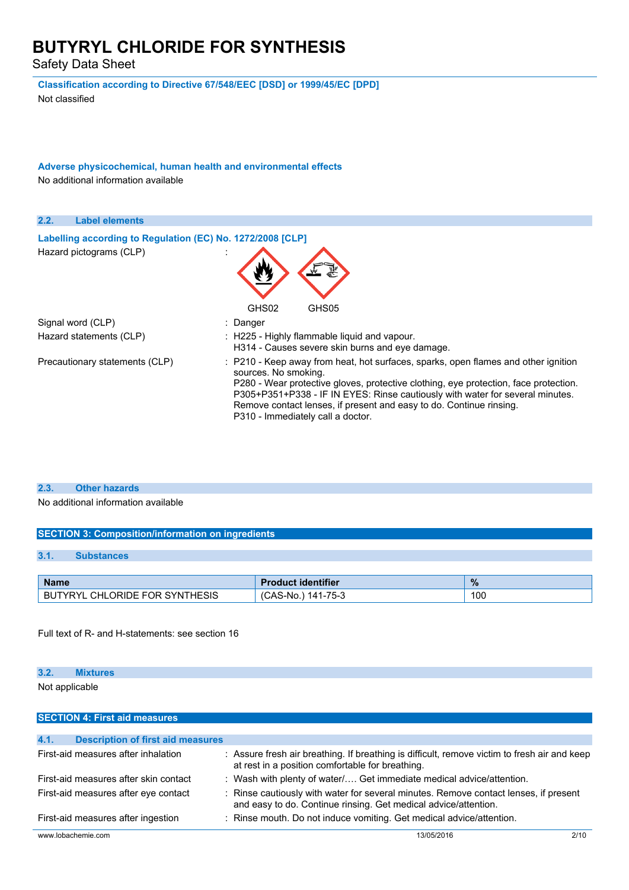Safety Data Sheet

**Classification according to Directive 67/548/EEC [DSD] or 1999/45/EC [DPD]** Not classified

**Adverse physicochemical, human health and environmental effects** No additional information available

| 2.2.<br><b>Label elements</b>                              |                                                                                                                                                                                                                                                                                                                                                                                                 |
|------------------------------------------------------------|-------------------------------------------------------------------------------------------------------------------------------------------------------------------------------------------------------------------------------------------------------------------------------------------------------------------------------------------------------------------------------------------------|
| Labelling according to Regulation (EC) No. 1272/2008 [CLP] |                                                                                                                                                                                                                                                                                                                                                                                                 |
| Hazard pictograms (CLP)                                    |                                                                                                                                                                                                                                                                                                                                                                                                 |
|                                                            | GHS02<br>GHS05                                                                                                                                                                                                                                                                                                                                                                                  |
| Signal word (CLP)                                          | : Danger                                                                                                                                                                                                                                                                                                                                                                                        |
| Hazard statements (CLP)                                    | : H225 - Highly flammable liquid and vapour.<br>H314 - Causes severe skin burns and eye damage.                                                                                                                                                                                                                                                                                                 |
| Precautionary statements (CLP)                             | : P210 - Keep away from heat, hot surfaces, sparks, open flames and other ignition<br>sources. No smoking.<br>P280 - Wear protective gloves, protective clothing, eye protection, face protection.<br>P305+P351+P338 - IF IN EYES: Rinse cautiously with water for several minutes.<br>Remove contact lenses, if present and easy to do. Continue rinsing.<br>P310 - Immediately call a doctor. |

#### **2.3. Other hazards**

No additional information available

### **SECTION 3: Composition/information on ingredients**

### **3.1. Substances**

| <b>Name</b>                         | <b>Product identifier</b>   | $\%$ |
|-------------------------------------|-----------------------------|------|
| L CHLORIDE FOR SYNTHESIS<br>BUTYRYL | $141 - 75 - 3$<br>,CAS-No.) | 100  |

Full text of R- and H-statements: see section 16

#### **3.2. Mixtures**

Not applicable

| <b>SECTION 4: First aid measures</b>             |                                                                                                                                                         |      |
|--------------------------------------------------|---------------------------------------------------------------------------------------------------------------------------------------------------------|------|
|                                                  |                                                                                                                                                         |      |
| 4.1.<br><b>Description of first aid measures</b> |                                                                                                                                                         |      |
| First-aid measures after inhalation              | : Assure fresh air breathing. If breathing is difficult, remove victim to fresh air and keep<br>at rest in a position comfortable for breathing.        |      |
| First-aid measures after skin contact            | : Wash with plenty of water/ Get immediate medical advice/attention.                                                                                    |      |
| First-aid measures after eye contact             | : Rinse cautiously with water for several minutes. Remove contact lenses, if present<br>and easy to do. Continue rinsing. Get medical advice/attention. |      |
| First-aid measures after ingestion               | : Rinse mouth. Do not induce vomiting. Get medical advice/attention.                                                                                    |      |
| www.lobachemie.com                               | 13/05/2016                                                                                                                                              | 2/10 |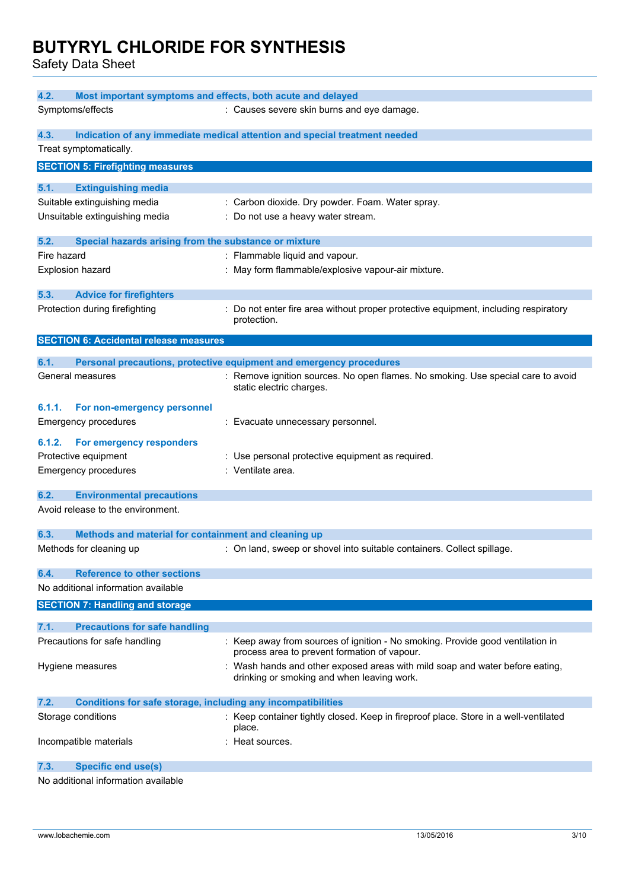Safety Data Sheet

| Most important symptoms and effects, both acute and delayed<br>4.2.         |                                                                                                  |
|-----------------------------------------------------------------------------|--------------------------------------------------------------------------------------------------|
| Symptoms/effects                                                            | : Causes severe skin burns and eye damage.                                                       |
|                                                                             |                                                                                                  |
| 4.3.                                                                        | Indication of any immediate medical attention and special treatment needed                       |
| Treat symptomatically.                                                      |                                                                                                  |
| <b>SECTION 5: Firefighting measures</b>                                     |                                                                                                  |
| 5.1.<br><b>Extinguishing media</b>                                          |                                                                                                  |
| Suitable extinguishing media                                                | : Carbon dioxide. Dry powder. Foam. Water spray.                                                 |
| Unsuitable extinguishing media                                              | : Do not use a heavy water stream.                                                               |
|                                                                             |                                                                                                  |
| Special hazards arising from the substance or mixture<br>5.2.               |                                                                                                  |
| Fire hazard                                                                 | : Flammable liquid and vapour.                                                                   |
| Explosion hazard                                                            | : May form flammable/explosive vapour-air mixture.                                               |
|                                                                             |                                                                                                  |
| 5.3.<br><b>Advice for firefighters</b>                                      |                                                                                                  |
| Protection during firefighting                                              | Do not enter fire area without proper protective equipment, including respiratory<br>protection. |
|                                                                             |                                                                                                  |
| <b>SECTION 6: Accidental release measures</b>                               |                                                                                                  |
| 6.1.                                                                        | Personal precautions, protective equipment and emergency procedures                              |
| General measures                                                            | : Remove ignition sources. No open flames. No smoking. Use special care to avoid                 |
|                                                                             | static electric charges.                                                                         |
| 6.1.1.<br>For non-emergency personnel                                       |                                                                                                  |
| <b>Emergency procedures</b>                                                 | : Evacuate unnecessary personnel.                                                                |
|                                                                             |                                                                                                  |
| For emergency responders<br>6.1.2.                                          |                                                                                                  |
| Protective equipment                                                        | : Use personal protective equipment as required.                                                 |
| <b>Emergency procedures</b>                                                 | : Ventilate area.                                                                                |
| 6.2.<br><b>Environmental precautions</b>                                    |                                                                                                  |
| Avoid release to the environment.                                           |                                                                                                  |
|                                                                             |                                                                                                  |
| 6.3.<br>Methods and material for containment and cleaning up                |                                                                                                  |
| Methods for cleaning up                                                     | : On land, sweep or shovel into suitable containers. Collect spillage.                           |
|                                                                             |                                                                                                  |
| <b>Reference to other sections</b><br>6.4.                                  |                                                                                                  |
| No additional information available                                         |                                                                                                  |
| <b>SECTION 7: Handling and storage</b>                                      |                                                                                                  |
| 7.1.<br><b>Precautions for safe handling</b>                                |                                                                                                  |
| Precautions for safe handling                                               | : Keep away from sources of ignition - No smoking. Provide good ventilation in                   |
|                                                                             | process area to prevent formation of vapour.                                                     |
| Hygiene measures                                                            | : Wash hands and other exposed areas with mild soap and water before eating,                     |
|                                                                             | drinking or smoking and when leaving work.                                                       |
| 7.2.<br><b>Conditions for safe storage, including any incompatibilities</b> |                                                                                                  |
| Storage conditions                                                          | : Keep container tightly closed. Keep in fireproof place. Store in a well-ventilated             |
|                                                                             | place.                                                                                           |
| Incompatible materials                                                      | : Heat sources.                                                                                  |
|                                                                             |                                                                                                  |
| 7.3.<br><b>Specific end use(s)</b>                                          |                                                                                                  |
| No additional information available                                         |                                                                                                  |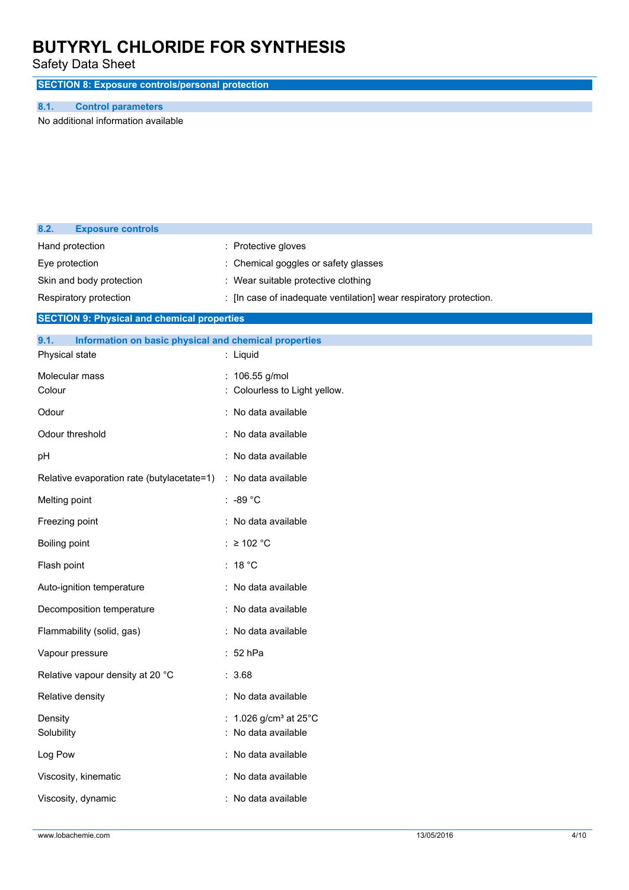Safety Data Sheet

**SECTION 8: Exposure controls/personal protection**

### **8.1. Control parameters**

**8.2. Exposure controls**

No additional information available

| Hand protection                                               | : Protective gloves                                                |
|---------------------------------------------------------------|--------------------------------------------------------------------|
| Eye protection                                                | Chemical goggles or safety glasses                                 |
| Skin and body protection                                      | : Wear suitable protective clothing                                |
| Respiratory protection                                        | : [In case of inadequate ventilation] wear respiratory protection. |
| <b>SECTION 9: Physical and chemical properties</b>            |                                                                    |
| 9.1.<br>Information on basic physical and chemical properties |                                                                    |
| Physical state                                                | : Liquid                                                           |
| Molecular mass                                                | : 106.55 g/mol                                                     |
| Colour                                                        | Colourless to Light yellow.                                        |
| Odour                                                         | No data available                                                  |
| Odour threshold                                               | No data available                                                  |
| pH                                                            | : No data available                                                |
| Relative evaporation rate (butylacetate=1)                    | : No data available                                                |
| Melting point                                                 | $: -89 °C$                                                         |
| Freezing point                                                | : No data available                                                |
| Boiling point                                                 | : $\geq$ 102 °C                                                    |
| Flash point                                                   | : $18 °C$                                                          |
| Auto-ignition temperature                                     | : No data available                                                |
| Decomposition temperature                                     | : No data available                                                |
| Flammability (solid, gas)                                     | No data available                                                  |
| Vapour pressure                                               | 52 hPa                                                             |
| Relative vapour density at 20 °C                              | : 3.68                                                             |
| Relative density                                              | : No data available                                                |
| Density                                                       | : $1.026$ g/cm <sup>3</sup> at $25^{\circ}$ C                      |
| Solubility                                                    | No data available                                                  |
| Log Pow                                                       | : No data available                                                |
| Viscosity, kinematic                                          | : No data available                                                |
| Viscosity, dynamic                                            | : No data available                                                |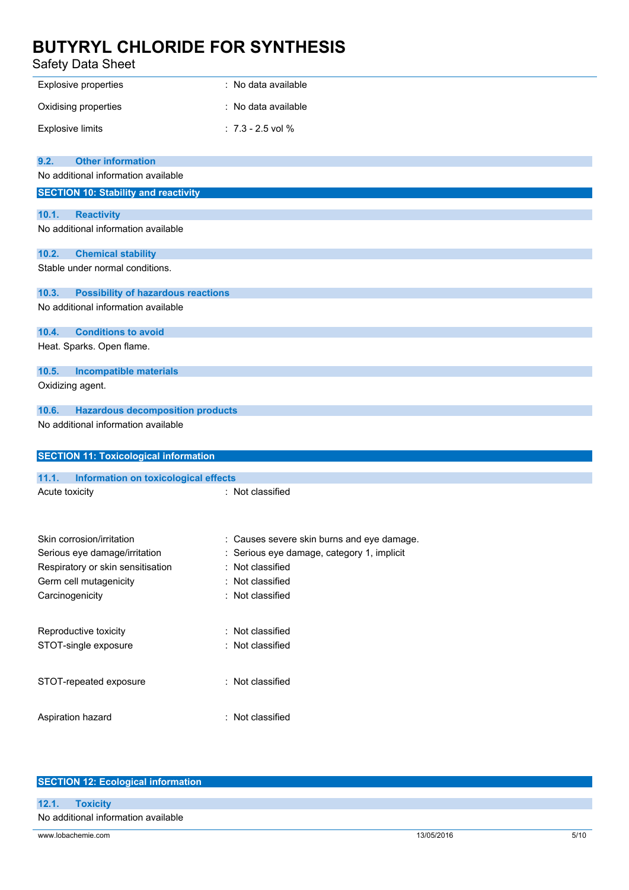### Safety Data Sheet

| sarety Data Sheet                                    |                                          |
|------------------------------------------------------|------------------------------------------|
| <b>Explosive properties</b>                          | : No data available                      |
| Oxidising properties                                 | : No data available                      |
| <b>Explosive limits</b>                              | $: 7.3 - 2.5$ vol %                      |
| <b>Other information</b><br>9.2.                     |                                          |
| No additional information available                  |                                          |
| <b>SECTION 10: Stability and reactivity</b>          |                                          |
| 10.1.<br><b>Reactivity</b>                           |                                          |
| No additional information available                  |                                          |
| 10.2.<br><b>Chemical stability</b>                   |                                          |
| Stable under normal conditions.                      |                                          |
| 10.3.<br><b>Possibility of hazardous reactions</b>   |                                          |
| No additional information available                  |                                          |
| <b>Conditions to avoid</b><br>10.4.                  |                                          |
| Heat. Sparks. Open flame.                            |                                          |
| <b>Incompatible materials</b><br>10.5.               |                                          |
| Oxidizing agent.                                     |                                          |
| 10.6.<br><b>Hazardous decomposition products</b>     |                                          |
| No additional information available                  |                                          |
| <b>SECTION 11: Toxicological information</b>         |                                          |
| 11.1.<br><b>Information on toxicological effects</b> |                                          |
| Acute toxicity                                       | : Not classified                         |
| Skin corrosion/irritation                            | Causes severe skin burns and eye damage. |
| Serious eye damage/irritation                        | Serious eye damage, category 1, implicit |
| Respiratory or skin sensitisation                    | Not classified<br>÷                      |
| Germ cell mutagenicity                               | Not classified<br>÷                      |
| Carcinogenicity                                      | : Not classified                         |
| Reproductive toxicity                                | Not classified<br>÷                      |
| STOT-single exposure                                 | Not classified                           |
| STOT-repeated exposure                               | : Not classified                         |
| Aspiration hazard                                    | : Not classified                         |

| <b>SECTION 12: Ecological information</b> |            |      |
|-------------------------------------------|------------|------|
|                                           |            |      |
| 12.1.<br><b>Toxicity</b>                  |            |      |
| No additional information available       |            |      |
| www.lobachemie.com                        | 13/05/2016 | 5/10 |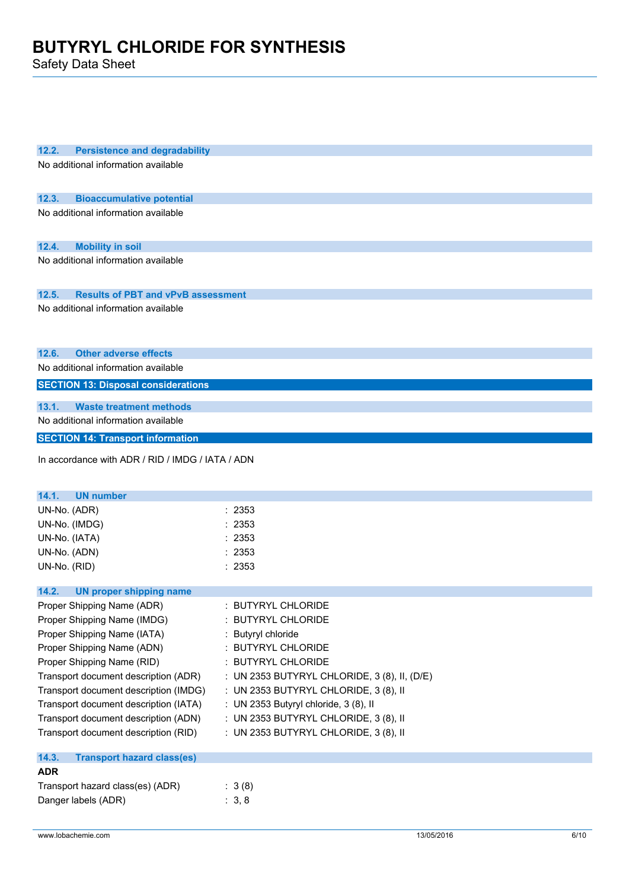Safety Data Sheet

| 12.2.<br><b>Persistence and degradability</b>      |                                              |
|----------------------------------------------------|----------------------------------------------|
| No additional information available                |                                              |
|                                                    |                                              |
|                                                    |                                              |
| 12.3.<br><b>Bioaccumulative potential</b>          |                                              |
| No additional information available                |                                              |
|                                                    |                                              |
| 12.4.<br><b>Mobility in soil</b>                   |                                              |
| No additional information available                |                                              |
|                                                    |                                              |
|                                                    |                                              |
| <b>Results of PBT and vPvB assessment</b><br>12.5. |                                              |
| No additional information available                |                                              |
|                                                    |                                              |
|                                                    |                                              |
| <b>Other adverse effects</b><br>12.6.              |                                              |
| No additional information available                |                                              |
| <b>SECTION 13: Disposal considerations</b>         |                                              |
| 13.1.<br><b>Waste treatment methods</b>            |                                              |
| No additional information available                |                                              |
|                                                    |                                              |
| <b>SECTION 14: Transport information</b>           |                                              |
| In accordance with ADR / RID / IMDG / IATA / ADN   |                                              |
|                                                    |                                              |
|                                                    |                                              |
| 14.1.<br><b>UN number</b>                          |                                              |
| UN-No. (ADR)                                       | :2353                                        |
| UN-No. (IMDG)                                      | : 2353                                       |
| UN-No. (IATA)                                      | : 2353                                       |
| UN-No. (ADN)                                       | : 2353                                       |
| UN-No. (RID)                                       | : 2353                                       |
|                                                    |                                              |
| 14.2.<br><b>UN proper shipping name</b>            |                                              |
| Proper Shipping Name (ADR)                         | : BUTYRYL CHLORIDE                           |
| Proper Shipping Name (IMDG)                        | <b>BUTYRYL CHLORIDE</b>                      |
| Proper Shipping Name (IATA)                        | : Butyryl chloride                           |
| Proper Shipping Name (ADN)                         | : BUTYRYL CHLORIDE                           |
| Proper Shipping Name (RID)                         | : BUTYRYL CHLORIDE                           |
| Transport document description (ADR)               | : UN 2353 BUTYRYL CHLORIDE, 3 (8), II, (D/E) |
| Transport document description (IMDG)              | : UN 2353 BUTYRYL CHLORIDE, 3 (8), II        |
| Transport document description (IATA)              | : UN 2353 Butyryl chloride, 3 (8), II        |
| Transport document description (ADN)               | : UN 2353 BUTYRYL CHLORIDE, 3 (8), II        |
| Transport document description (RID)               | : UN 2353 BUTYRYL CHLORIDE, 3 (8), II        |
|                                                    |                                              |
| 14.3.<br><b>Transport hazard class(es)</b>         |                                              |
| <b>ADR</b>                                         |                                              |
| Transport hazard class(es) (ADR)                   | : 3(8)                                       |
| Danger labels (ADR)                                | : 3, 8                                       |
|                                                    |                                              |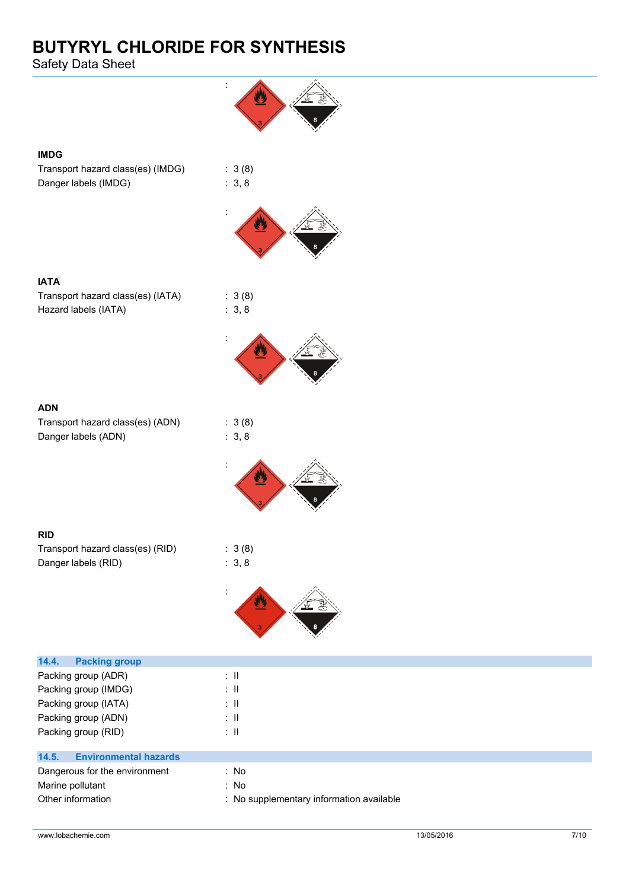Safety Data Sheet



### **IMDG**

Transport hazard class(es) (IMDG) : 3 (8) Danger labels (IMDG) : 3, 8



 $: 3 (8)$  $: 3, 8$ 

:

| <b>IATA</b>                       |  |
|-----------------------------------|--|
| Transport hazard class(es) (IATA) |  |
| Hazard labels (IATA)              |  |



Transport hazard class(es) (ADN) : 3 (8) Danger labels (ADN) : 3, 8



### **RID**

Transport hazard class(es) (RID) : 3 (8) Danger labels (RID) : 3, 8



| <b>Packing group</b><br>14.4.         |                                          |
|---------------------------------------|------------------------------------------|
| Packing group (ADR)                   | ÷Ш                                       |
| Packing group (IMDG)                  | ÷Ш                                       |
| Packing group (IATA)                  | ÷Ш                                       |
| Packing group (ADN)                   | ÷Ш                                       |
| Packing group (RID)                   | ÷Ш                                       |
|                                       |                                          |
| <b>Environmental hazards</b><br>14.5. |                                          |
| Dangerous for the environment         | : No                                     |
| Marine pollutant                      | : No                                     |
| Other information                     | : No supplementary information available |
|                                       |                                          |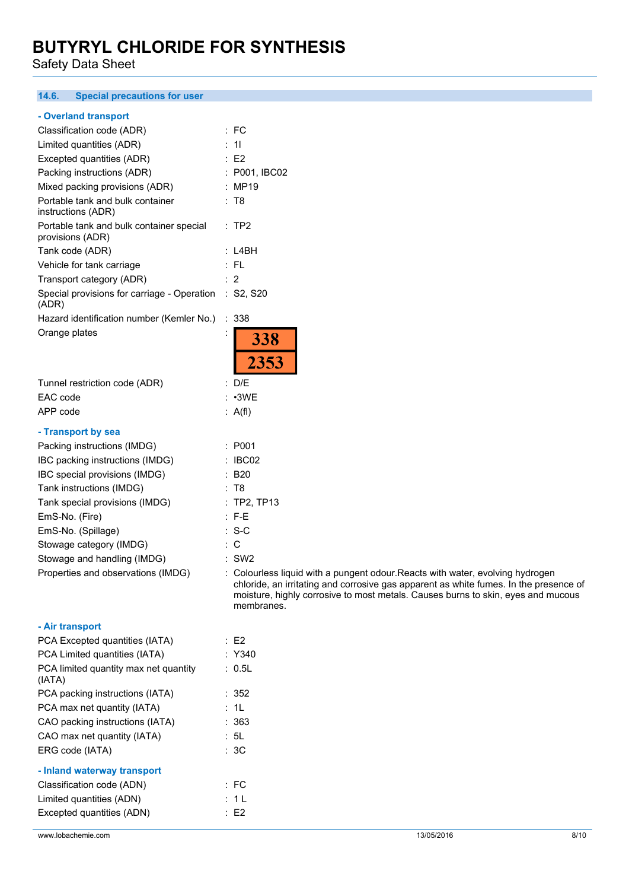Safety Data Sheet

#### **14.6. Special precautions for user**

#### **- Overland transport**

| Classification code (ADR)                                      | :FC                                                                                                                                                                                                                                                                       |
|----------------------------------------------------------------|---------------------------------------------------------------------------------------------------------------------------------------------------------------------------------------------------------------------------------------------------------------------------|
| Limited quantities (ADR)                                       | : 11                                                                                                                                                                                                                                                                      |
| Excepted quantities (ADR)                                      | E2                                                                                                                                                                                                                                                                        |
| Packing instructions (ADR)                                     | : P001, IBC02                                                                                                                                                                                                                                                             |
| Mixed packing provisions (ADR)                                 | : MP19                                                                                                                                                                                                                                                                    |
| Portable tank and bulk container<br>instructions (ADR)         | : T8                                                                                                                                                                                                                                                                      |
| Portable tank and bulk container special<br>provisions (ADR)   | :TP2                                                                                                                                                                                                                                                                      |
| Tank code (ADR)                                                | : LABH                                                                                                                                                                                                                                                                    |
| Vehicle for tank carriage                                      | $:$ FL                                                                                                                                                                                                                                                                    |
| Transport category (ADR)                                       | : 2                                                                                                                                                                                                                                                                       |
| Special provisions for carriage - Operation : S2, S20<br>(ADR) |                                                                                                                                                                                                                                                                           |
| Hazard identification number (Kemler No.)                      | $\therefore$ 338                                                                                                                                                                                                                                                          |
| Orange plates                                                  | 338<br>2353                                                                                                                                                                                                                                                               |
| Tunnel restriction code (ADR)                                  | : D/E                                                                                                                                                                                                                                                                     |
| EAC code                                                       | $: \cdot$ 3WE                                                                                                                                                                                                                                                             |
| APP code                                                       | : A(f)                                                                                                                                                                                                                                                                    |
| - Transport by sea                                             |                                                                                                                                                                                                                                                                           |
| Packing instructions (IMDG)                                    | : P001                                                                                                                                                                                                                                                                    |
| IBC packing instructions (IMDG)                                | $\therefore$ IBC02                                                                                                                                                                                                                                                        |
| IBC special provisions (IMDG)                                  | : B20                                                                                                                                                                                                                                                                     |
| Tank instructions (IMDG)                                       | : T8                                                                                                                                                                                                                                                                      |
| Tank special provisions (IMDG)                                 | : TP2, TP13                                                                                                                                                                                                                                                               |
| EmS-No. (Fire)                                                 | $:$ F-E                                                                                                                                                                                                                                                                   |
| EmS-No. (Spillage)                                             | $: S-C$                                                                                                                                                                                                                                                                   |
| Stowage category (IMDG)                                        | $\therefore$ C                                                                                                                                                                                                                                                            |
| Stowage and handling (IMDG)                                    | $:$ SW2                                                                                                                                                                                                                                                                   |
| Properties and observations (IMDG)                             | : Colourless liquid with a pungent odour. Reacts with water, evolving hydrogen<br>chloride, an irritating and corrosive gas apparent as white fumes. In the presence of<br>moisture, highly corrosive to most metals. Causes burns to skin, eyes and mucous<br>membranes. |
| - Air transport                                                |                                                                                                                                                                                                                                                                           |
| PCA Excepted quantities (IATA)                                 | : E2                                                                                                                                                                                                                                                                      |
| PCA Limited quantities (IATA)                                  | : Y340                                                                                                                                                                                                                                                                    |
| PCA limited quantity max net quantity<br>(IATA)                | : 0.5L                                                                                                                                                                                                                                                                    |
| PCA packing instructions (IATA)                                | : 352                                                                                                                                                                                                                                                                     |
| PCA max net quantity (IATA)                                    | : 1L                                                                                                                                                                                                                                                                      |
| CAO packing instructions (IATA)                                | : 363                                                                                                                                                                                                                                                                     |
| CAO max net quantity (IATA)                                    | : 5L                                                                                                                                                                                                                                                                      |

### ERG code (IATA) : 3C

| - Inland waterway transport |          |
|-----------------------------|----------|
| Classification code (ADN)   | : FC     |
| Limited quantities (ADN)    | : 11     |
| Excepted quantities (ADN)   | $E^2$ F2 |
|                             |          |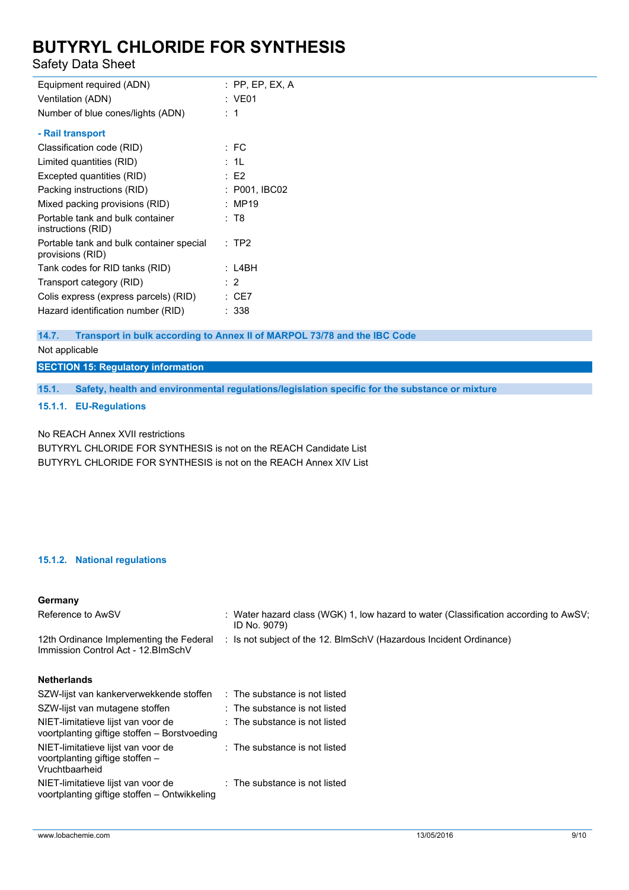Safety Data Sheet

| Equipment required (ADN)                                     | : PP, EP, EX, A |
|--------------------------------------------------------------|-----------------|
| Ventilation (ADN)                                            | : VE01          |
| Number of blue cones/lights (ADN)                            | :1              |
| - Rail transport                                             |                 |
| Classification code (RID)                                    | $E$ FC          |
| Limited quantities (RID)                                     | : 1L            |
| Excepted quantities (RID)                                    | :E2             |
| Packing instructions (RID)                                   | : P001, IBC02   |
| Mixed packing provisions (RID)                               | : MP19          |
| Portable tank and bulk container<br>instructions (RID)       | : T8            |
| Portable tank and bulk container special<br>provisions (RID) | : TP2           |
| Tank codes for RID tanks (RID)                               | : L4BH          |
| Transport category (RID)                                     | $\therefore$ 2  |
| Colis express (express parcels) (RID)                        | CE7             |
| Hazard identification number (RID)                           | : 338           |
|                                                              |                 |

**14.7. Transport in bulk according to Annex II of MARPOL 73/78 and the IBC Code**

Not applicable

**SECTION 15: Regulatory information**

**15.1. Safety, health and environmental regulations/legislation specific for the substance or mixture**

**15.1.1. EU-Regulations**

No REACH Annex XVII restrictions

BUTYRYL CHLORIDE FOR SYNTHESIS is not on the REACH Candidate List BUTYRYL CHLORIDE FOR SYNTHESIS is not on the REACH Annex XIV List

### **15.1.2. National regulations**

**Germany**

| Reference to AwSV                                                                       | : Water hazard class (WGK) 1, low hazard to water (Classification according to AwSV;<br>ID No. 9079) |
|-----------------------------------------------------------------------------------------|------------------------------------------------------------------------------------------------------|
| 12th Ordinance Implementing the Federal<br>Immission Control Act - 12. BlmSchV          | : Is not subject of the 12. BlmSchV (Hazardous Incident Ordinance)                                   |
| <b>Netherlands</b>                                                                      |                                                                                                      |
| SZW-lijst van kankerverwekkende stoffen                                                 | : The substance is not listed                                                                        |
| SZW-lijst van mutagene stoffen                                                          | : The substance is not listed                                                                        |
| NIET-limitatieve lijst van voor de<br>voortplanting giftige stoffen - Borstvoeding      | : The substance is not listed                                                                        |
| NIET-limitatieve lijst van voor de<br>voortplanting giftige stoffen -<br>Vruchtbaarheid | : The substance is not listed                                                                        |
| NIET-limitatieve lijst van voor de<br>voortplanting giftige stoffen - Ontwikkeling      | : The substance is not listed                                                                        |